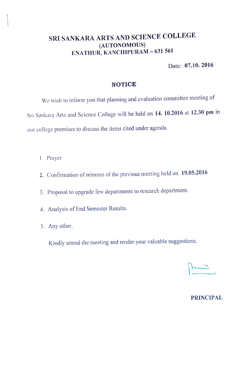## SRI SANKARA ARTS AND SCIENCE COLLEGE (AUTONOMOUS) ENATHUR, KANCHIPURAM - 631 561

Date: 07.10. 2016

#### NOTICE

We wish to inform you that planning and evaluation committee meeting of Sri Sankara Arts and Science College will be held on 14. 10.2016 at 12.30 pm in our college premises to discuss the items cited under agenda.

- 1. Prayer
- 2. Confirmation of minutes of the previous meeting held on 19.05.2016
- 3. Proposal to upgrade few departments to research department.
- 4. Analysis of End Semester Results.
- 5. Any other.

Kindly attend the meeting and render your valuable suggestions.

 $\overline{\phantom{a}}$ 

### PRINCIPAL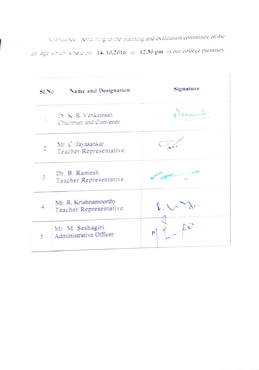Attendance - pertaining to the planning and evaluation committee of the college which is held on 14, 10,2016 at 12,30 pm in our college premises.

| $\mathcal{A}_{\mathrm{loc}}$ . Let | Name and Designation                            | Signature |
|------------------------------------|-------------------------------------------------|-----------|
|                                    | Dr. K. R. Venkatesan<br>Chairman and Convener   |           |
|                                    | Mr. C. Jayasankar<br>Teacher Representative     |           |
|                                    | Dr. B. Ramesh<br>Teacher Representative         |           |
|                                    | Mr. R. Krishnamoorthy<br>Teacher Representative |           |
| 5                                  | Mr. M. Seshagiri<br>Administrative Officer      |           |